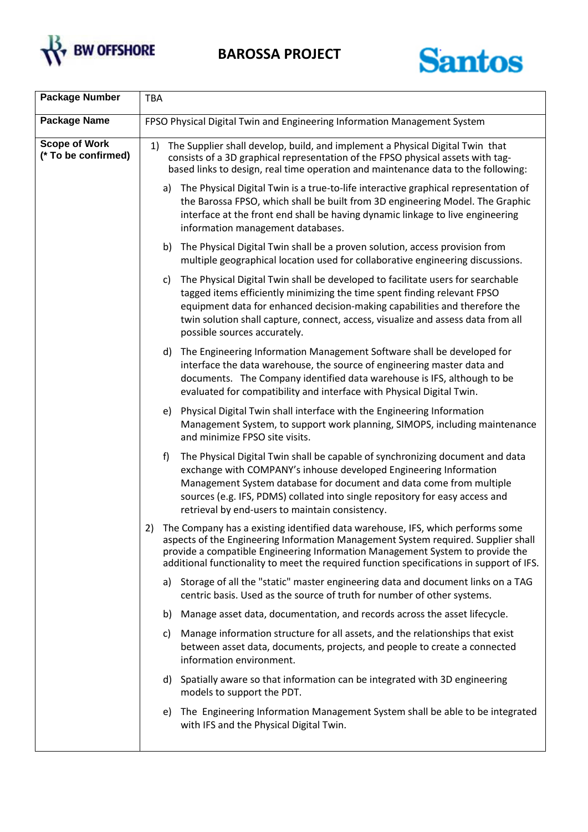

**BAROSSA PROJECT**



| <b>Package Number</b>                       | TBA                                                                                                                                                                                                                                                                                                                                                                 |
|---------------------------------------------|---------------------------------------------------------------------------------------------------------------------------------------------------------------------------------------------------------------------------------------------------------------------------------------------------------------------------------------------------------------------|
| <b>Package Name</b>                         | FPSO Physical Digital Twin and Engineering Information Management System                                                                                                                                                                                                                                                                                            |
| <b>Scope of Work</b><br>(* To be confirmed) | The Supplier shall develop, build, and implement a Physical Digital Twin that<br>1)<br>consists of a 3D graphical representation of the FPSO physical assets with tag-<br>based links to design, real time operation and maintenance data to the following:                                                                                                         |
|                                             | The Physical Digital Twin is a true-to-life interactive graphical representation of<br>a)<br>the Barossa FPSO, which shall be built from 3D engineering Model. The Graphic<br>interface at the front end shall be having dynamic linkage to live engineering<br>information management databases.                                                                   |
|                                             | b) The Physical Digital Twin shall be a proven solution, access provision from<br>multiple geographical location used for collaborative engineering discussions.                                                                                                                                                                                                    |
|                                             | The Physical Digital Twin shall be developed to facilitate users for searchable<br>C)<br>tagged items efficiently minimizing the time spent finding relevant FPSO<br>equipment data for enhanced decision-making capabilities and therefore the<br>twin solution shall capture, connect, access, visualize and assess data from all<br>possible sources accurately. |
|                                             | The Engineering Information Management Software shall be developed for<br>d)<br>interface the data warehouse, the source of engineering master data and<br>documents. The Company identified data warehouse is IFS, although to be<br>evaluated for compatibility and interface with Physical Digital Twin.                                                         |
|                                             | Physical Digital Twin shall interface with the Engineering Information<br>e)<br>Management System, to support work planning, SIMOPS, including maintenance<br>and minimize FPSO site visits.                                                                                                                                                                        |
|                                             | f)<br>The Physical Digital Twin shall be capable of synchronizing document and data<br>exchange with COMPANY's inhouse developed Engineering Information<br>Management System database for document and data come from multiple<br>sources (e.g. IFS, PDMS) collated into single repository for easy access and<br>retrieval by end-users to maintain consistency.  |
|                                             | The Company has a existing identified data warehouse, IFS, which performs some<br>2)<br>aspects of the Engineering Information Management System required. Supplier shall<br>provide a compatible Engineering Information Management System to provide the<br>additional functionality to meet the required function specifications in support of IFS.              |
|                                             | a) Storage of all the "static" master engineering data and document links on a TAG<br>centric basis. Used as the source of truth for number of other systems.                                                                                                                                                                                                       |
|                                             | b) Manage asset data, documentation, and records across the asset lifecycle.                                                                                                                                                                                                                                                                                        |
|                                             | Manage information structure for all assets, and the relationships that exist<br>C)<br>between asset data, documents, projects, and people to create a connected<br>information environment.                                                                                                                                                                        |
|                                             | d) Spatially aware so that information can be integrated with 3D engineering<br>models to support the PDT.                                                                                                                                                                                                                                                          |
|                                             | The Engineering Information Management System shall be able to be integrated<br>e)<br>with IFS and the Physical Digital Twin.                                                                                                                                                                                                                                       |
|                                             |                                                                                                                                                                                                                                                                                                                                                                     |